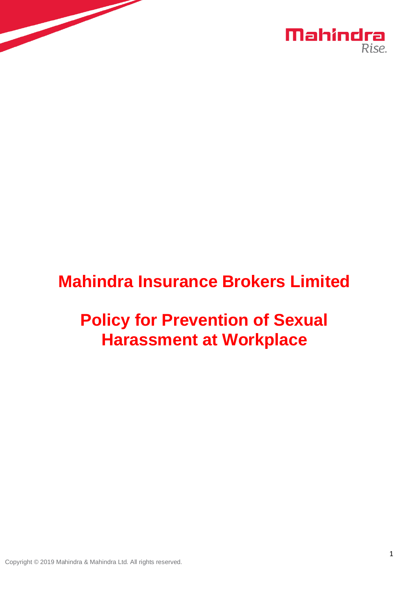

# **Mahindra Insurance Brokers Limited**

# **Policy for Prevention of Sexual Harassment at Workplace**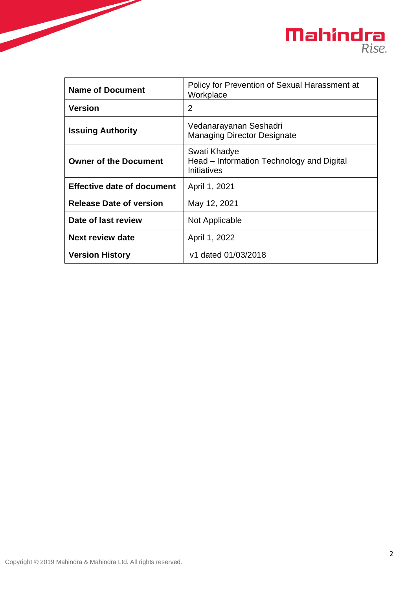

| <b>Name of Document</b>           | Policy for Prevention of Sexual Harassment at<br>Workplace               |
|-----------------------------------|--------------------------------------------------------------------------|
| <b>Version</b>                    | $\overline{2}$                                                           |
| <b>Issuing Authority</b>          | Vedanarayanan Seshadri<br><b>Managing Director Designate</b>             |
| <b>Owner of the Document</b>      | Swati Khadye<br>Head – Information Technology and Digital<br>Initiatives |
| <b>Effective date of document</b> | April 1, 2021                                                            |
| <b>Release Date of version</b>    | May 12, 2021                                                             |
| Date of last review               | Not Applicable                                                           |
| <b>Next review date</b>           | April 1, 2022                                                            |
| <b>Version History</b>            | v1 dated 01/03/2018                                                      |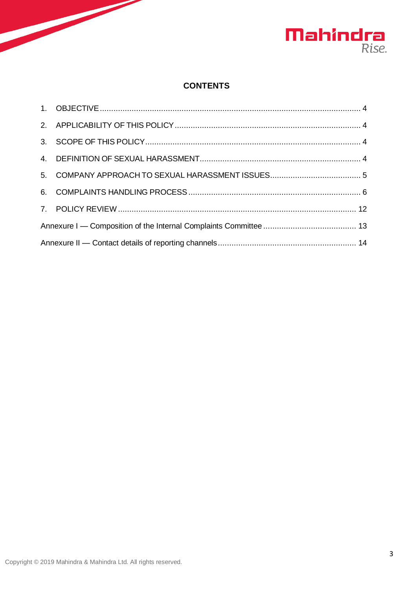

## **CONTENTS**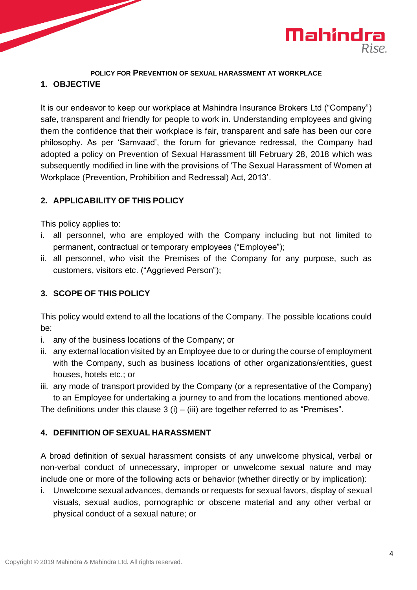

#### **POLICY FOR PREVENTION OF SEXUAL HARASSMENT AT WORKPLACE**

### <span id="page-3-0"></span>**1. OBJECTIVE**

It is our endeavor to keep our workplace at Mahindra Insurance Brokers Ltd ("Company") safe, transparent and friendly for people to work in. Understanding employees and giving them the confidence that their workplace is fair, transparent and safe has been our core philosophy. As per 'Samvaad', the forum for grievance redressal, the Company had adopted a policy on Prevention of Sexual Harassment till February 28, 2018 which was subsequently modified in line with the provisions of 'The Sexual Harassment of Women at Workplace (Prevention, Prohibition and Redressal) Act, 2013'.

## <span id="page-3-1"></span>**2. APPLICABILITY OF THIS POLICY**

This policy applies to:

- i. all personnel, who are employed with the Company including but not limited to permanent, contractual or temporary employees ("Employee");
- ii. all personnel, who visit the Premises of the Company for any purpose, such as customers, visitors etc. ("Aggrieved Person");

## <span id="page-3-2"></span>**3. SCOPE OF THIS POLICY**

This policy would extend to all the locations of the Company. The possible locations could be:

- i. any of the business locations of the Company; or
- ii. any external location visited by an Employee due to or during the course of employment with the Company, such as business locations of other organizations/entities, guest houses, hotels etc.; or
- iii. any mode of transport provided by the Company (or a representative of the Company) to an Employee for undertaking a journey to and from the locations mentioned above.

The definitions under this clause  $3$  (i) – (iii) are together referred to as "Premises".

#### <span id="page-3-3"></span>**4. DEFINITION OF SEXUAL HARASSMENT**

A broad definition of sexual harassment consists of any unwelcome physical, verbal or non-verbal conduct of unnecessary, improper or unwelcome sexual nature and may include one or more of the following acts or behavior (whether directly or by implication):

i. Unwelcome sexual advances, demands or requests for sexual favors, display of sexual visuals, sexual audios, pornographic or obscene material and any other verbal or physical conduct of a sexual nature; or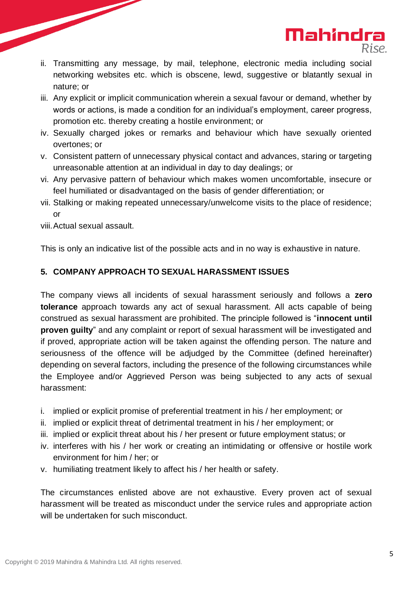ii. Transmitting any message, by mail, telephone, electronic media including social networking websites etc. which is obscene, lewd, suggestive or blatantly sexual in nature; or

**Mahindra** 

- iii. Any explicit or implicit communication wherein a sexual favour or demand, whether by words or actions, is made a condition for an individual's employment, career progress, promotion etc. thereby creating a hostile environment; or
- iv. Sexually charged jokes or remarks and behaviour which have sexually oriented overtones; or
- v. Consistent pattern of unnecessary physical contact and advances, staring or targeting unreasonable attention at an individual in day to day dealings; or
- vi. Any pervasive pattern of behaviour which makes women uncomfortable, insecure or feel humiliated or disadvantaged on the basis of gender differentiation; or
- vii. Stalking or making repeated unnecessary/unwelcome visits to the place of residence; or

viii.Actual sexual assault.

This is only an indicative list of the possible acts and in no way is exhaustive in nature.

## <span id="page-4-0"></span>**5. COMPANY APPROACH TO SEXUAL HARASSMENT ISSUES**

The company views all incidents of sexual harassment seriously and follows a **zero tolerance** approach towards any act of sexual harassment. All acts capable of being construed as sexual harassment are prohibited. The principle followed is "**innocent until proven guilty**" and any complaint or report of sexual harassment will be investigated and if proved, appropriate action will be taken against the offending person. The nature and seriousness of the offence will be adjudged by the Committee (defined hereinafter) depending on several factors, including the presence of the following circumstances while the Employee and/or Aggrieved Person was being subjected to any acts of sexual harassment:

- i. implied or explicit promise of preferential treatment in his / her employment; or
- ii. implied or explicit threat of detrimental treatment in his / her employment; or
- iii. implied or explicit threat about his / her present or future employment status; or
- iv. interferes with his / her work or creating an intimidating or offensive or hostile work environment for him / her; or
- v. humiliating treatment likely to affect his / her health or safety.

The circumstances enlisted above are not exhaustive. Every proven act of sexual harassment will be treated as misconduct under the service rules and appropriate action will be undertaken for such misconduct.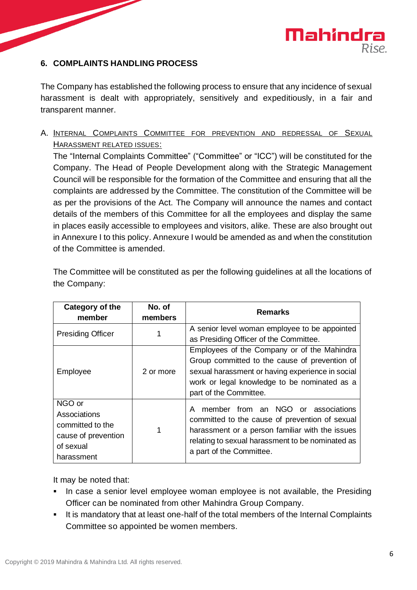

#### <span id="page-5-0"></span>**6. COMPLAINTS HANDLING PROCESS**

The Company has established the following process to ensure that any incidence of sexual harassment is dealt with appropriately, sensitively and expeditiously, in a fair and transparent manner.

A. INTERNAL COMPLAINTS COMMITTEE FOR PREVENTION AND REDRESSAL OF SEXUAL HARASSMENT RELATED ISSUES:

The "Internal Complaints Committee" ("Committee" or "ICC") will be constituted for the Company. The Head of People Development along with the Strategic Management Council will be responsible for the formation of the Committee and ensuring that all the complaints are addressed by the Committee. The constitution of the Committee will be as per the provisions of the Act. The Company will announce the names and contact details of the members of this Committee for all the employees and display the same in places easily accessible to employees and visitors, alike. These are also brought out in Annexure I to this policy. Annexure I would be amended as and when the constitution of the Committee is amended.

| The Committee will be constituted as per the following guidelines at all the locations of |  |
|-------------------------------------------------------------------------------------------|--|
| the Company:                                                                              |  |

| Category of the<br>member                                                                    | No. of<br>members | <b>Remarks</b>                                                                                                                                                                                                               |  |
|----------------------------------------------------------------------------------------------|-------------------|------------------------------------------------------------------------------------------------------------------------------------------------------------------------------------------------------------------------------|--|
| <b>Presiding Officer</b>                                                                     |                   | A senior level woman employee to be appointed<br>as Presiding Officer of the Committee.                                                                                                                                      |  |
| Employee                                                                                     | 2 or more         | Employees of the Company or of the Mahindra<br>Group committed to the cause of prevention of<br>sexual harassment or having experience in social<br>work or legal knowledge to be nominated as a<br>part of the Committee.   |  |
| NGO or<br>Associations<br>committed to the<br>cause of prevention<br>of sexual<br>harassment |                   | member from an NGO or associations<br>A<br>committed to the cause of prevention of sexual<br>harassment or a person familiar with the issues<br>relating to sexual harassment to be nominated as<br>a part of the Committee. |  |

It may be noted that:

- In case a senior level employee woman employee is not available, the Presiding Officer can be nominated from other Mahindra Group Company.
- It is mandatory that at least one-half of the total members of the Internal Complaints Committee so appointed be women members.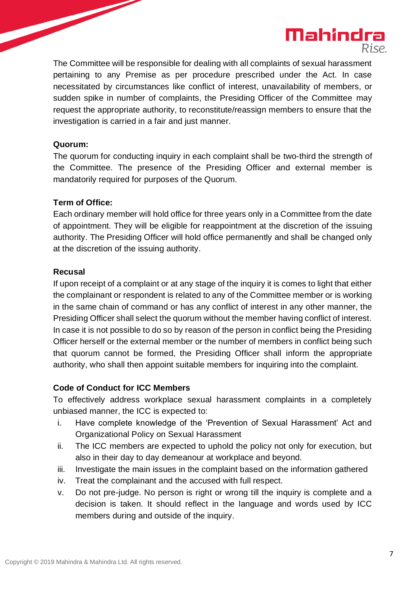

The Committee will be responsible for dealing with all complaints of sexual harassment pertaining to any Premise as per procedure prescribed under the Act. In case necessitated by circumstances like conflict of interest, unavailability of members, or sudden spike in number of complaints, the Presiding Officer of the Committee may request the appropriate authority, to reconstitute/reassign members to ensure that the investigation is carried in a fair and just manner.

#### **Quorum:**

The quorum for conducting inquiry in each complaint shall be two-third the strength of the Committee. The presence of the Presiding Officer and external member is mandatorily required for purposes of the Quorum.

#### **Term of Office:**

Each ordinary member will hold office for three years only in a Committee from the date of appointment. They will be eligible for reappointment at the discretion of the issuing authority. The Presiding Officer will hold office permanently and shall be changed only at the discretion of the issuing authority.

#### **Recusal**

If upon receipt of a complaint or at any stage of the inquiry it is comes to light that either the complainant or respondent is related to any of the Committee member or is working in the same chain of command or has any conflict of interest in any other manner, the Presiding Officer shall select the quorum without the member having conflict of interest. In case it is not possible to do so by reason of the person in conflict being the Presiding Officer herself or the external member or the number of members in conflict being such that quorum cannot be formed, the Presiding Officer shall inform the appropriate authority, who shall then appoint suitable members for inquiring into the complaint.

#### **Code of Conduct for ICC Members**

To effectively address workplace sexual harassment complaints in a completely unbiased manner, the ICC is expected to:

- i. Have complete knowledge of the 'Prevention of Sexual Harassment' Act and Organizational Policy on Sexual Harassment
- ii. The ICC members are expected to uphold the policy not only for execution, but also in their day to day demeanour at workplace and beyond.
- iii. Investigate the main issues in the complaint based on the information gathered
- iv. Treat the complainant and the accused with full respect.
- v. Do not pre-judge. No person is right or wrong till the inquiry is complete and a decision is taken. It should reflect in the language and words used by ICC members during and outside of the inquiry.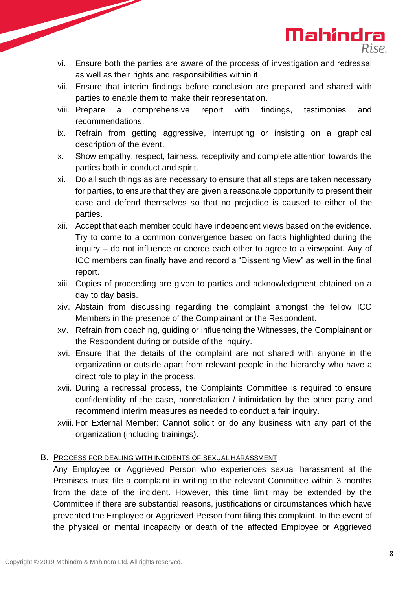

- vi. Ensure both the parties are aware of the process of investigation and redressal as well as their rights and responsibilities within it.
- vii. Ensure that interim findings before conclusion are prepared and shared with parties to enable them to make their representation.
- viii. Prepare a comprehensive report with findings, testimonies and recommendations.
- ix. Refrain from getting aggressive, interrupting or insisting on a graphical description of the event.
- x. Show empathy, respect, fairness, receptivity and complete attention towards the parties both in conduct and spirit.
- xi. Do all such things as are necessary to ensure that all steps are taken necessary for parties, to ensure that they are given a reasonable opportunity to present their case and defend themselves so that no prejudice is caused to either of the parties.
- xii. Accept that each member could have independent views based on the evidence. Try to come to a common convergence based on facts highlighted during the inquiry – do not influence or coerce each other to agree to a viewpoint. Any of ICC members can finally have and record a "Dissenting View" as well in the final report.
- xiii. Copies of proceeding are given to parties and acknowledgment obtained on a day to day basis.
- xiv. Abstain from discussing regarding the complaint amongst the fellow ICC Members in the presence of the Complainant or the Respondent.
- xv. Refrain from coaching, guiding or influencing the Witnesses, the Complainant or the Respondent during or outside of the inquiry.
- xvi. Ensure that the details of the complaint are not shared with anyone in the organization or outside apart from relevant people in the hierarchy who have a direct role to play in the process.
- xvii. During a redressal process, the Complaints Committee is required to ensure confidentiality of the case, nonretaliation / intimidation by the other party and recommend interim measures as needed to conduct a fair inquiry.
- xviii. For External Member: Cannot solicit or do any business with any part of the organization (including trainings).

## B. PROCESS FOR DEALING WITH INCIDENTS OF SEXUAL HARASSMENT

Any Employee or Aggrieved Person who experiences sexual harassment at the Premises must file a complaint in writing to the relevant Committee within 3 months from the date of the incident. However, this time limit may be extended by the Committee if there are substantial reasons, justifications or circumstances which have prevented the Employee or Aggrieved Person from filing this complaint. In the event of the physical or mental incapacity or death of the affected Employee or Aggrieved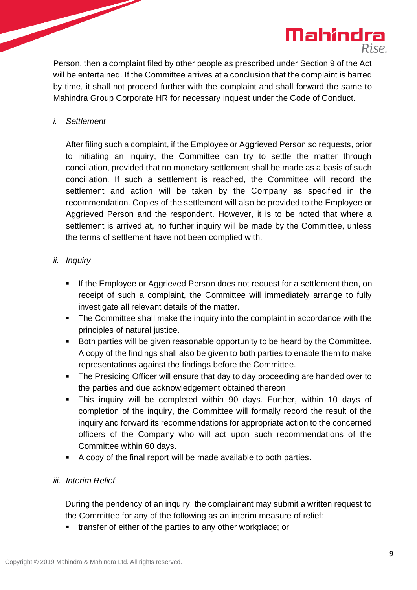

Person, then a complaint filed by other people as prescribed under Section 9 of the Act will be entertained. If the Committee arrives at a conclusion that the complaint is barred by time, it shall not proceed further with the complaint and shall forward the same to Mahindra Group Corporate HR for necessary inquest under the Code of Conduct.

### *i. Settlement*

After filing such a complaint, if the Employee or Aggrieved Person so requests, prior to initiating an inquiry, the Committee can try to settle the matter through conciliation, provided that no monetary settlement shall be made as a basis of such conciliation. If such a settlement is reached, the Committee will record the settlement and action will be taken by the Company as specified in the recommendation. Copies of the settlement will also be provided to the Employee or Aggrieved Person and the respondent. However, it is to be noted that where a settlement is arrived at, no further inquiry will be made by the Committee, unless the terms of settlement have not been complied with.

### *ii. Inquiry*

- **.** If the Employee or Aggrieved Person does not request for a settlement then, on receipt of such a complaint, the Committee will immediately arrange to fully investigate all relevant details of the matter.
- The Committee shall make the inquiry into the complaint in accordance with the principles of natural justice.
- Both parties will be given reasonable opportunity to be heard by the Committee. A copy of the findings shall also be given to both parties to enable them to make representations against the findings before the Committee.
- The Presiding Officer will ensure that day to day proceeding are handed over to the parties and due acknowledgement obtained thereon
- This inquiry will be completed within 90 days. Further, within 10 days of completion of the inquiry, the Committee will formally record the result of the inquiry and forward its recommendations for appropriate action to the concerned officers of the Company who will act upon such recommendations of the Committee within 60 days.
- A copy of the final report will be made available to both parties.

## *iii. Interim Relief*

During the pendency of an inquiry, the complainant may submit a written request to the Committee for any of the following as an interim measure of relief:

▪ transfer of either of the parties to any other workplace; or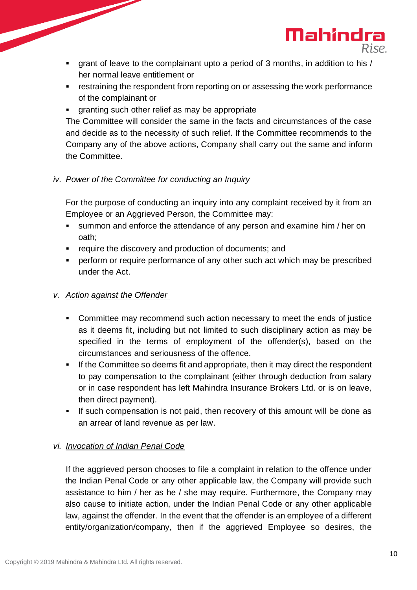▪ grant of leave to the complainant upto a period of 3 months, in addition to his / her normal leave entitlement or

Mahindra

- **EXE** restraining the respondent from reporting on or assessing the work performance of the complainant or
- **•** granting such other relief as may be appropriate

The Committee will consider the same in the facts and circumstances of the case and decide as to the necessity of such relief. If the Committee recommends to the Company any of the above actions, Company shall carry out the same and inform the Committee.

## *iv. Power of the Committee for conducting an Inquiry*

For the purpose of conducting an inquiry into any complaint received by it from an Employee or an Aggrieved Person, the Committee may:

- summon and enforce the attendance of any person and examine him / her on oath;
- require the discovery and production of documents; and
- perform or require performance of any other such act which may be prescribed under the Act.

## *v. Action against the Offender*

- Committee may recommend such action necessary to meet the ends of justice as it deems fit, including but not limited to such disciplinary action as may be specified in the terms of employment of the offender(s), based on the circumstances and seriousness of the offence.
- **.** If the Committee so deems fit and appropriate, then it may direct the respondent to pay compensation to the complainant (either through deduction from salary or in case respondent has left Mahindra Insurance Brokers Ltd. or is on leave, then direct payment).
- If such compensation is not paid, then recovery of this amount will be done as an arrear of land revenue as per law.

## *vi. Invocation of Indian Penal Code*

If the aggrieved person chooses to file a complaint in relation to the offence under the Indian Penal Code or any other applicable law, the Company will provide such assistance to him / her as he / she may require. Furthermore, the Company may also cause to initiate action, under the Indian Penal Code or any other applicable law, against the offender. In the event that the offender is an employee of a different entity/organization/company, then if the aggrieved Employee so desires, the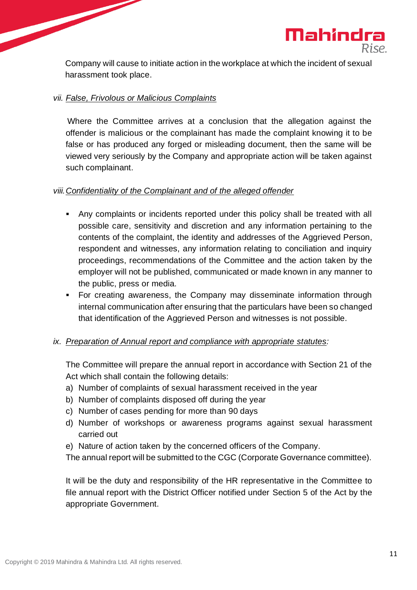

Company will cause to initiate action in the workplace at which the incident of sexual harassment took place.

#### *vii. False, Frivolous or Malicious Complaints*

Where the Committee arrives at a conclusion that the allegation against the offender is malicious or the complainant has made the complaint knowing it to be false or has produced any forged or misleading document, then the same will be viewed very seriously by the Company and appropriate action will be taken against such complainant.

#### *viii.Confidentiality of the Complainant and of the alleged offender*

- Any complaints or incidents reported under this policy shall be treated with all possible care, sensitivity and discretion and any information pertaining to the contents of the complaint, the identity and addresses of the Aggrieved Person, respondent and witnesses, any information relating to conciliation and inquiry proceedings, recommendations of the Committee and the action taken by the employer will not be published, communicated or made known in any manner to the public, press or media.
- For creating awareness, the Company may disseminate information through internal communication after ensuring that the particulars have been so changed that identification of the Aggrieved Person and witnesses is not possible.

#### *ix. Preparation of Annual report and compliance with appropriate statutes:*

The Committee will prepare the annual report in accordance with Section 21 of the Act which shall contain the following details:

- a) Number of complaints of sexual harassment received in the year
- b) Number of complaints disposed off during the year
- c) Number of cases pending for more than 90 days
- d) Number of workshops or awareness programs against sexual harassment carried out
- e) Nature of action taken by the concerned officers of the Company.
- The annual report will be submitted to the CGC (Corporate Governance committee).

It will be the duty and responsibility of the HR representative in the Committee to file annual report with the District Officer notified under Section 5 of the Act by the appropriate Government.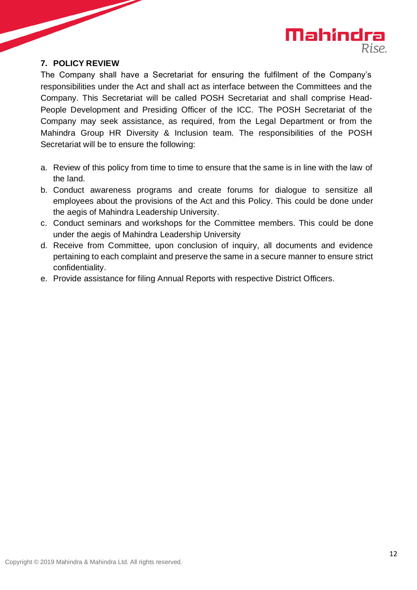

#### <span id="page-11-0"></span>**7. POLICY REVIEW**

The Company shall have a Secretariat for ensuring the fulfilment of the Company's responsibilities under the Act and shall act as interface between the Committees and the Company. This Secretariat will be called POSH Secretariat and shall comprise Head-People Development and Presiding Officer of the ICC. The POSH Secretariat of the Company may seek assistance, as required, from the Legal Department or from the Mahindra Group HR Diversity & Inclusion team. The responsibilities of the POSH Secretariat will be to ensure the following:

- a. Review of this policy from time to time to ensure that the same is in line with the law of the land.
- b. Conduct awareness programs and create forums for dialogue to sensitize all employees about the provisions of the Act and this Policy. This could be done under the aegis of Mahindra Leadership University.
- c. Conduct seminars and workshops for the Committee members. This could be done under the aegis of Mahindra Leadership University
- d. Receive from Committee, upon conclusion of inquiry, all documents and evidence pertaining to each complaint and preserve the same in a secure manner to ensure strict confidentiality.
- e. Provide assistance for filing Annual Reports with respective District Officers.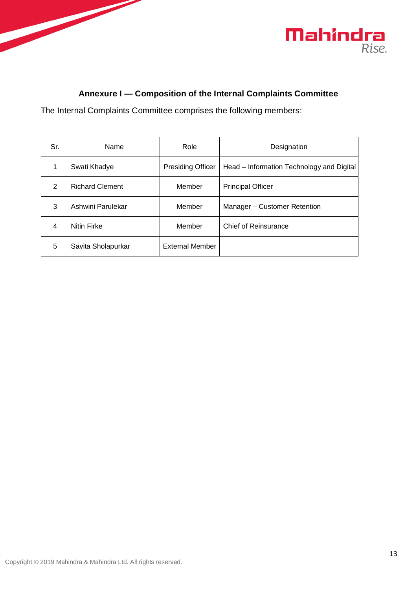



## **Annexure I — Composition of the Internal Complaints Committee**

<span id="page-12-0"></span>The Internal Complaints Committee comprises the following members:

| Sr. | Name                   | Role                     | Designation                               |
|-----|------------------------|--------------------------|-------------------------------------------|
| 1   | Swati Khadye           | <b>Presiding Officer</b> | Head – Information Technology and Digital |
| 2   | <b>Richard Clement</b> | Member                   | <b>Principal Officer</b>                  |
| 3   | Ashwini Parulekar      | Member                   | Manager - Customer Retention              |
| 4   | <b>Nitin Firke</b>     | Member                   | <b>Chief of Reinsurance</b>               |
| 5   | Savita Sholapurkar     | <b>External Member</b>   |                                           |